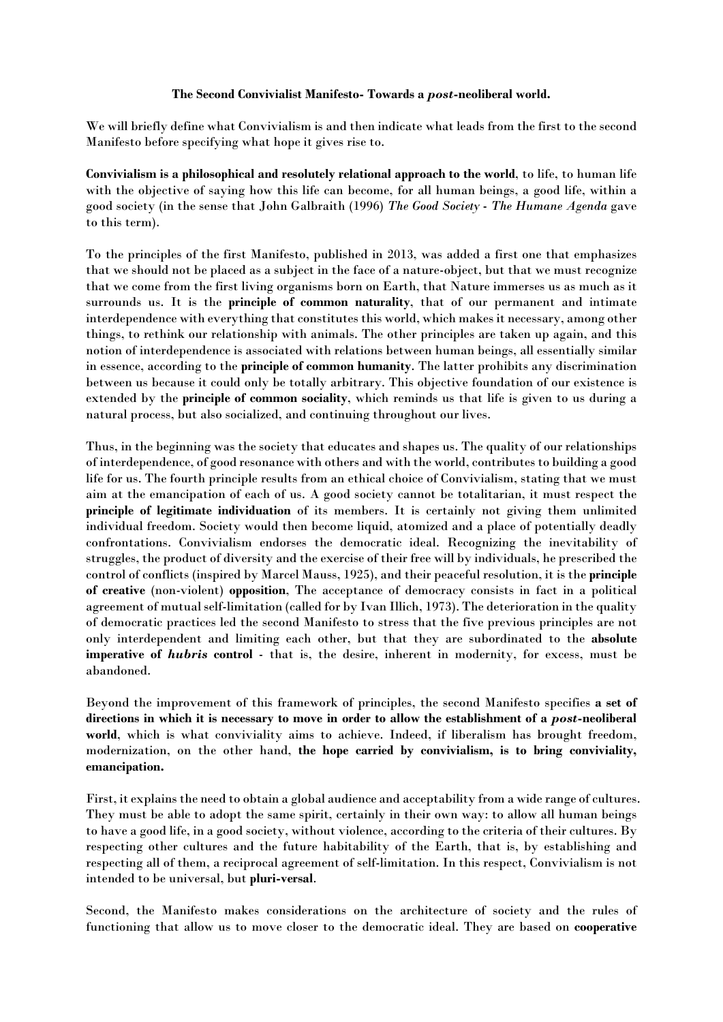## The Second Convivialist Manifesto- Towards a post-neoliberal world.

We will briefly define what Convivialism is and then indicate what leads from the first to the second Manifesto before specifying what hope it gives rise to.

Convivialism is a philosophical and resolutely relational approach to the world, to life, to human life with the objective of saying how this life can become, for all human beings, a good life, within a good society (in the sense that John Galbraith (1996) The Good Society - The Humane Agenda gave to this term).

To the principles of the first Manifesto, published in 2013, was added a first one that emphasizes that we should not be placed as a subject in the face of a nature-object, but that we must recognize that we come from the first living organisms born on Earth, that Nature immerses us as much as it surrounds us. It is the principle of common naturality, that of our permanent and intimate interdependence with everything that constitutes this world, which makes it necessary, among other things, to rethink our relationship with animals. The other principles are taken up again, and this notion of interdependence is associated with relations between human beings, all essentially similar in essence, according to the principle of common humanity. The latter prohibits any discrimination between us because it could only be totally arbitrary. This objective foundation of our existence is extended by the principle of common sociality, which reminds us that life is given to us during a natural process, but also socialized, and continuing throughout our lives.

Thus, in the beginning was the society that educates and shapes us. The quality of our relationships of interdependence, of good resonance with others and with the world, contributes to building a good life for us. The fourth principle results from an ethical choice of Convivialism, stating that we must aim at the emancipation of each of us. A good society cannot be totalitarian, it must respect the principle of legitimate individuation of its members. It is certainly not giving them unlimited individual freedom. Society would then become liquid, atomized and a place of potentially deadly confrontations. Convivialism endorses the democratic ideal. Recognizing the inevitability of struggles, the product of diversity and the exercise of their free will by individuals, he prescribed the control of conflicts (inspired by Marcel Mauss, 1925), and their peaceful resolution, it is the principle of creative (non-violent) opposition, The acceptance of democracy consists in fact in a political agreement of mutual self-limitation (called for by Ivan Illich, 1973). The deterioration in the quality of democratic practices led the second Manifesto to stress that the five previous principles are not only interdependent and limiting each other, but that they are subordinated to the absolute imperative of hubris control - that is, the desire, inherent in modernity, for excess, must be abandoned.

Beyond the improvement of this framework of principles, the second Manifesto specifies a set of directions in which it is necessary to move in order to allow the establishment of a post-neoliberal world, which is what conviviality aims to achieve. Indeed, if liberalism has brought freedom, modernization, on the other hand, the hope carried by convivialism, is to bring conviviality, emancipation.

First, it explains the need to obtain a global audience and acceptability from a wide range of cultures. They must be able to adopt the same spirit, certainly in their own way: to allow all human beings to have a good life, in a good society, without violence, according to the criteria of their cultures. By respecting other cultures and the future habitability of the Earth, that is, by establishing and respecting all of them, a reciprocal agreement of self-limitation. In this respect, Convivialism is not intended to be universal, but pluri-versal.

Second, the Manifesto makes considerations on the architecture of society and the rules of functioning that allow us to move closer to the democratic ideal. They are based on cooperative